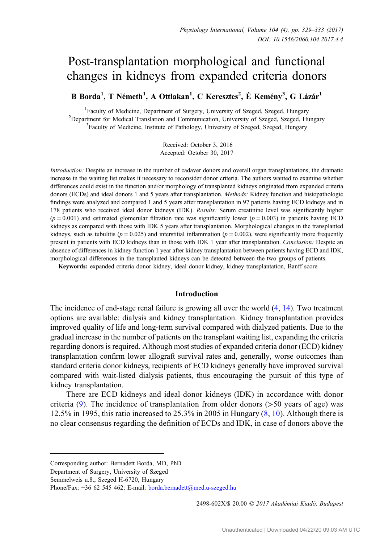# Post-transplantation morphological and functional changes in kidneys from expanded criteria donors

B Borda<sup>1</sup>, T Németh<sup>1</sup>, A Ottlakan<sup>1</sup>, C Keresztes<sup>2</sup>, É Kemény<sup>3</sup>, G Lázár<sup>1</sup>

<sup>1</sup> Faculty of Medicine, Department of Surgery, University of Szeged, Szeged, Hungary<br><sup>2</sup> Department for Medical Translation and Communication University of Szeged, Szeged, Hu  $2$ Department for Medical Translation and Communication, University of Szeged, Szeged, Hungary <sup>3</sup>Faculty of Medicine, Institute of Pathology, University of Szeged, Szeged, Hungary

> Received: October 3, 2016 Accepted: October 30, 2017

Introduction: Despite an increase in the number of cadaver donors and overall organ transplantations, the dramatic increase in the waiting list makes it necessary to reconsider donor criteria. The authors wanted to examine whether differences could exist in the function and/or morphology of transplanted kidneys originated from expanded criteria donors (ECDs) and ideal donors 1 and 5 years after transplantation. Methods: Kidney function and histopathologic findings were analyzed and compared 1 and 5 years after transplantation in 97 patients having ECD kidneys and in 178 patients who received ideal donor kidneys (IDK). Results: Serum creatinine level was significantly higher  $(p = 0.001)$  and estimated glomerular filtration rate was significantly lower  $(p = 0.003)$  in patients having ECD kidneys as compared with those with IDK 5 years after transplantation. Morphological changes in the transplanted kidneys, such as tubulitis ( $p = 0.025$ ) and interstitial inflammation ( $p = 0.002$ ), were significantly more frequently present in patients with ECD kidneys than in those with IDK 1 year after transplantation. Conclusion: Despite an absence of differences in kidney function 1 year after kidney transplantation between patients having ECD and IDK, morphological differences in the transplanted kidneys can be detected between the two groups of patients.

Keywords: expanded criteria donor kidney, ideal donor kidney, kidney transplantation, Banff score

# Introduction

The incidence of end-stage renal failure is growing all over the world ([4,](#page-4-0) [14\)](#page-4-0). Two treatment options are available: dialysis and kidney transplantation. Kidney transplantation provides improved quality of life and long-term survival compared with dialyzed patients. Due to the gradual increase in the number of patients on the transplant waiting list, expanding the criteria regarding donors is required. Although most studies of expanded criteria donor (ECD) kidney transplantation confirm lower allograft survival rates and, generally, worse outcomes than standard criteria donor kidneys, recipients of ECD kidneys generally have improved survival compared with wait-listed dialysis patients, thus encouraging the pursuit of this type of kidney transplantation.

There are ECD kidneys and ideal donor kidneys (IDK) in accordance with donor criteria  $(9)$  $(9)$  $(9)$ . The incidence of transplantation from older donors ( $>50$  years of age) was 12.5% in 1995, this ratio increased to 25.3% in 2005 in Hungary ([8,](#page-4-0) [10](#page-4-0)). Although there is no clear consensus regarding the definition of ECDs and IDK, in case of donors above the

Department of Surgery, University of Szeged

Semmelweis u.8., Szeged H-6720, Hungary

2498-602X/\$ 20.00 © 2017 Akadémiai Kiadó, Budapest

Corresponding author: Bernadett Borda, MD, PhD

Phone/Fax: +36 62 545 462; E-mail: [borda.bernadett@med.u](mailto:borda.bernadett@med.u-szeged.hu)-szeged.hu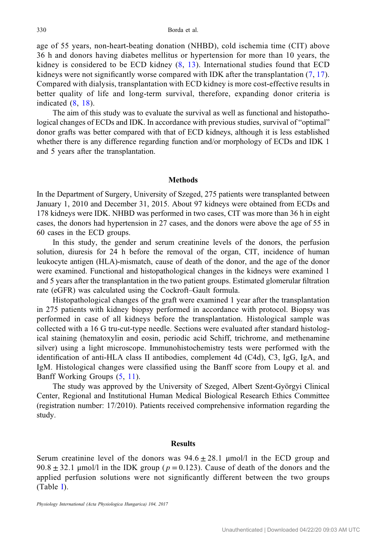age of 55 years, non-heart-beating donation (NHBD), cold ischemia time (CIT) above 36 h and donors having diabetes mellitus or hypertension for more than 10 years, the kidney is considered to be ECD kidney [\(8,](#page-4-0) [13](#page-4-0)). International studies found that ECD kidneys were not significantly worse compared with IDK after the transplantation ([7,](#page-4-0) [17](#page-4-0)). Compared with dialysis, transplantation with ECD kidney is more cost-effective results in better quality of life and long-term survival, therefore, expanding donor criteria is indicated ([8](#page-4-0), [18\)](#page-4-0).

The aim of this study was to evaluate the survival as well as functional and histopathological changes of ECDs and IDK. In accordance with previous studies, survival of "optimal" donor grafts was better compared with that of ECD kidneys, although it is less established whether there is any difference regarding function and/or morphology of ECDs and IDK 1 and 5 years after the transplantation.

### **Methods**

In the Department of Surgery, University of Szeged, 275 patients were transplanted between January 1, 2010 and December 31, 2015. About 97 kidneys were obtained from ECDs and 178 kidneys were IDK. NHBD was performed in two cases, CIT was more than 36 h in eight cases, the donors had hypertension in 27 cases, and the donors were above the age of 55 in 60 cases in the ECD groups.

In this study, the gender and serum creatinine levels of the donors, the perfusion solution, diuresis for 24 h before the removal of the organ, CIT, incidence of human leukocyte antigen (HLA)-mismatch, cause of death of the donor, and the age of the donor were examined. Functional and histopathological changes in the kidneys were examined 1 and 5 years after the transplantation in the two patient groups. Estimated glomerular filtration rate (eGFR) was calculated using the Cockroft–Gault formula.

Histopathological changes of the graft were examined 1 year after the transplantation in 275 patients with kidney biopsy performed in accordance with protocol. Biopsy was performed in case of all kidneys before the transplantation. Histological sample was collected with a 16 G tru-cut-type needle. Sections were evaluated after standard histological staining (hematoxylin and eosin, periodic acid Schiff, trichrome, and methenamine silver) using a light microscope. Immunohistochemistry tests were performed with the identification of anti-HLA class II antibodies, complement 4d (C4d), C3, IgG, IgA, and IgM. Histological changes were classified using the Banff score from Loupy et al. and Banff Working Groups ([5,](#page-4-0) [11](#page-4-0)).

The study was approved by the University of Szeged, Albert Szent-Györgyi Clinical Center, Regional and Institutional Human Medical Biological Research Ethics Committee (registration number: 17/2010). Patients received comprehensive information regarding the study.

#### Results

Serum creatinine level of the donors was  $94.6 \pm 28.1$  µmol/l in the ECD group and  $90.8 \pm 32.1$  µmol/l in the IDK group ( $p = 0.123$ ). Cause of death of the donors and the applied perfusion solutions were not significantly different between the two groups (Table [I\)](#page-2-0).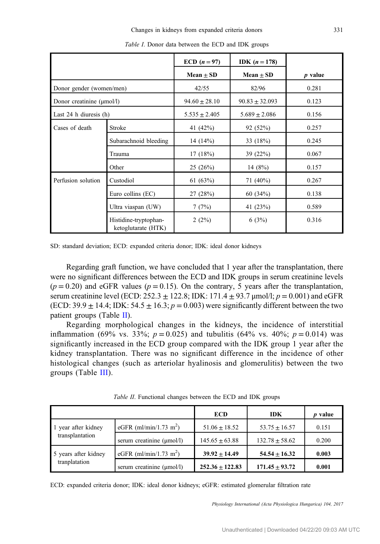<span id="page-2-0"></span>

|                                       |                                              | ECD $(n = 97)$    | <b>IDK</b> $(n = 178)$ |           |
|---------------------------------------|----------------------------------------------|-------------------|------------------------|-----------|
|                                       |                                              | Mean $\pm$ SD     | $Mean \pm SD$          | $p$ value |
| Donor gender (women/men)              |                                              | 42/55             | 82/96                  | 0.281     |
| Donor creatinine $(\mu \text{mol/l})$ |                                              | $94.60 \pm 28.10$ | $90.83 \pm 32.093$     | 0.123     |
| Last $24$ h diuresis $(h)$            |                                              | $5.535 \pm 2.405$ | $5.689 \pm 2.086$      | 0.156     |
| Cases of death                        | Stroke                                       | 41 (42%)          | 92 (52%)               | 0.257     |
|                                       | Subarachnoid bleeding                        | 14 $(14%)$        | 33 (18%)               | 0.245     |
|                                       | Trauma                                       | 17(18%)           | 39 (22%)               | 0.067     |
|                                       | Other                                        | 25(26%)           | 14 $(8%)$              | 0.157     |
| Perfusion solution                    | Custodiol                                    | 61 $(63%)$        | 71 (40%)               | 0.267     |
|                                       | Euro collins (EC)                            | 27(28%)           | 60(34%)                | 0.138     |
|                                       | Ultra viaspan (UW)                           | 7(7%)             | 41 (23%)               | 0.589     |
|                                       | Histidine-tryptophan-<br>ketoglutarate (HTK) | 2(2%)             | 6(3%)                  | 0.316     |

Table I. Donor data between the ECD and IDK groups

SD: standard deviation; ECD: expanded criteria donor; IDK: ideal donor kidneys

Regarding graft function, we have concluded that 1 year after the transplantation, there were no significant differences between the ECD and IDK groups in serum creatinine levels  $(p = 0.20)$  and eGFR values  $(p = 0.15)$ . On the contrary, 5 years after the transplantation, serum creatinine level (ECD:  $252.3 \pm 122.8$ ; IDK:  $171.4 \pm 93.7$  µmol/l;  $p = 0.001$ ) and eGFR (ECD:  $39.9 \pm 14.4$ ; IDK:  $54.5 \pm 16.3$ ;  $p = 0.003$ ) were significantly different between the two patient groups (Table II).

Regarding morphological changes in the kidneys, the incidence of interstitial inflammation (69% vs. 33%;  $p = 0.025$ ) and tubulitis (64% vs. 40%;  $p = 0.014$ ) was significantly increased in the ECD group compared with the IDK group 1 year after the kidney transplantation. There was no significant difference in the incidence of other histological changes (such as arteriolar hyalinosis and glomerulitis) between the two groups (Table [III\)](#page-3-0).

|                      |                                       | <b>ECD</b>         | <b>IDK</b>         | $p$ value |
|----------------------|---------------------------------------|--------------------|--------------------|-----------|
| 1 year after kidney  | eGFR (ml/min/1.73 m <sup>2</sup> )    | $51.06 \pm 18.52$  | $53.75 + 16.57$    | 0.151     |
| transplantation      | serum creatinine $(\mu \text{mol/l})$ | $145.65 \pm 63.88$ | $132.78 \pm 58.62$ | 0.200     |
| 5 years after kidney | eGFR (ml/min/1.73 m <sup>2</sup> )    | $39.92 + 14.49$    | $54.54 + 16.32$    | 0.003     |
| tranplatation        | serum creatinine $(\mu \text{mol/l})$ | $252.36 + 122.83$  | $171.45 + 93.72$   | 0.001     |

Table II. Functional changes between the ECD and IDK groups

ECD: expanded criteria donor; IDK: ideal donor kidneys; eGFR: estimated glomerular filtration rate

Physiology International (Acta Physiologica Hungarica) 104, 2017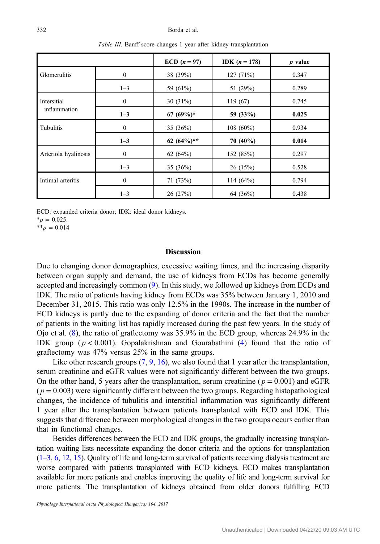<span id="page-3-0"></span>

|                             |              | ECD $(n = 97)$ | <b>IDK</b> $(n = 178)$ | $p$ value |
|-----------------------------|--------------|----------------|------------------------|-----------|
| Glomerulitis                | $\mathbf{0}$ | 38 (39%)       | 127(71%)               | 0.347     |
|                             | $1 - 3$      | 59 (61%)       | 51 (29%)               | 0.289     |
| Intersitial<br>inflammation | $\mathbf{0}$ | 30 $(31\%)$    | 119(67)                | 0.745     |
|                             | $1 - 3$      | $67(69%)$ *    | 59 (33%)               | 0.025     |
| Tubulitis                   | $\mathbf{0}$ | 35 $(36%)$     | $108(60\%)$            | 0.934     |
|                             | $1 - 3$      | 62 $(64\%)**$  | $70(40\%)$             | 0.014     |
| Arteriola hyalinosis        | $\mathbf{0}$ | 62 $(64%)$     | 152 (85%)              | 0.297     |
|                             | $1 - 3$      | 35 $(36%)$     | 26(15%)                | 0.528     |
| Intimal arteritis           | $\mathbf{0}$ | 71(73%)        | 114 $(64%)$            | 0.794     |
|                             | $1 - 3$      | 26(27%)        | 64 (36%)               | 0.438     |

Table III. Banff score changes 1 year after kidney transplantation

ECD: expanded criteria donor; IDK: ideal donor kidneys.  $*_{p} = 0.025$ .

 $*_{p} = 0.014$ 

# Discussion

Due to changing donor demographics, excessive waiting times, and the increasing disparity between organ supply and demand, the use of kidneys from ECDs has become generally accepted and increasingly common ([9\)](#page-4-0). In this study, we followed up kidneys from ECDs and IDK. The ratio of patients having kidney from ECDs was 35% between January 1, 2010 and December 31, 2015. This ratio was only 12.5% in the 1990s. The increase in the number of ECD kidneys is partly due to the expanding of donor criteria and the fact that the number of patients in the waiting list has rapidly increased during the past few years. In the study of Ojo et al. ([8\)](#page-4-0), the ratio of graftectomy was 35.9% in the ECD group, whereas 24.9% in the IDK group ( $p < 0.001$ ). Gopalakrishnan and Gourabathini [\(4](#page-4-0)) found that the ratio of graftectomy was 47% versus 25% in the same groups.

Like other research groups  $(7, 9, 16)$  $(7, 9, 16)$  $(7, 9, 16)$  $(7, 9, 16)$  $(7, 9, 16)$ , we also found that 1 year after the transplantation, serum creatinine and eGFR values were not significantly different between the two groups. On the other hand, 5 years after the transplantation, serum creatinine ( $p = 0.001$ ) and eGFR  $(p = 0.003)$  were significantly different between the two groups. Regarding histopathological changes, the incidence of tubulitis and interstitial inflammation was significantly different 1 year after the transplantation between patients transplanted with ECD and IDK. This suggests that difference between morphological changes in the two groups occurs earlier than that in functional changes.

Besides differences between the ECD and IDK groups, the gradually increasing transplantation waiting lists necessitate expanding the donor criteria and the options for transplantation [\(1](#page-4-0)–3, [6,](#page-4-0) [12](#page-4-0), [15\)](#page-4-0). Quality of life and long-term survival of patients receiving dialysis treatment are worse compared with patients transplanted with ECD kidneys. ECD makes transplantation available for more patients and enables improving the quality of life and long-term survival for more patients. The transplantation of kidneys obtained from older donors fulfilling ECD